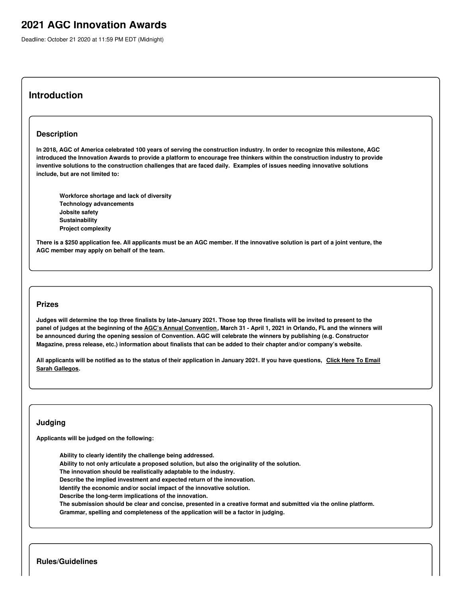# **2021 AGC Innovation Awards**

Deadline: October 21 2020 at 11:59 PM EDT (Midnight)

### **Introduction**

#### **Description**

In 2018, AGC of America celebrated 100 years of serving the construction industry. In order to recognize this milestone, AGC introduced the Innovation Awards to provide a platform to encourage free thinkers within the construction industry to provide inventive solutions to the construction challenges that are faced daily. Examples of issues needing innovative solutions **include, but are not limited to:**

**Workforce shortage and lack of diversity Technology advancements Jobsite safety Sustainability Project complexity**

There is a \$250 application fee. All applicants must be an AGC member. If the innovative solution is part of a joint venture, the **AGC member may apply on behalf of the team.**

#### **Prizes**

Judges will determine the top three finalists by late-January 2021. Those top three finalists will be invited to present to the panel of judges at the beginning of the AGC's Annual [Convention](https://convention.agc.org/), March 31 - April 1, 2021 in Orlando, FL and the winners will be announced during the opening session of Convention. AGC will celebrate the winners by publishing (e.g. Constructor Magazine, press release, etc.) information about finalists that can be added to their chapter and/or company's website.

All applicants will be notified as to the status of their [application](mailto:gallegoss@agc.org) in January 2021. If you have questions, Click Here To Email **Sarah Gallegos.**

### **Judging**

**Applicants will be judged on the following:**

**Ability to clearly identify the challenge being addressed. Ability to not only articulate a proposed solution, but also the originality of the solution. The innovation should be realistically adaptable to the industry. Describe the implied investment and expected return of the innovation. Identify the economic and/or social impact of the innovative solution. Describe the long-term implications of the innovation.** The submission should be clear and concise, presented in a creative format and submitted via the online platform. **Grammar, spelling and completeness of the application will be a factor in judging.**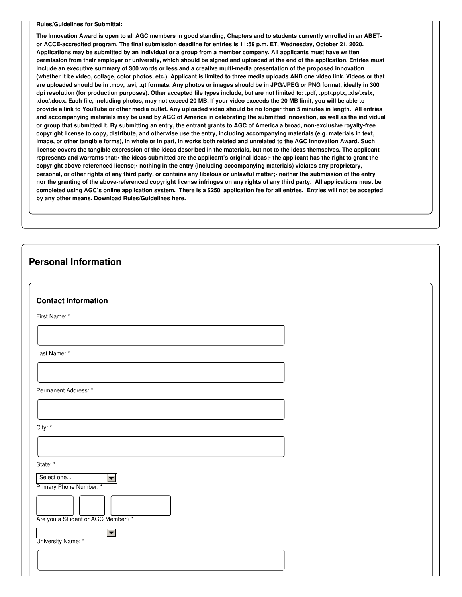**Rules/Guidelines for Submittal:**

The Innovation Award is open to all AGC members in good standing, Chapters and to students currently enrolled in an ABETor ACCE-accredited program. The final submission deadline for entries is 11:59 p.m. ET, Wednesday, October 21, 2020. Applications may be submitted by an individual or a group from a member company. All applicants must have written permission from their employer or university, which should be signed and uploaded at the end of the application. Entries must include an executive summary of 300 words or less and a creative multi-media presentation of the proposed innovation (whether it be video, collage, color photos, etc.). Applicant is limited to three media uploads AND one video link. Videos or that are uploaded should be in .mov, .avi, .qt formats. Any photos or images should be in JPG/JPEG or PNG format, ideally in 300 dpi resolution (for production purposes). Other accepted file types include, but are not limited to: .pdf, .ppt/.pptx, .xls/.xslx, .doc/.docx. Each file, including photos, may not exceed 20 MB. If your video exceeds the 20 MB limit, you will be able to provide a link to YouTube or other media outlet. Any uploaded video should be no longer than 5 minutes in length. All entries and accompanying materials may be used by AGC of America in celebrating the submitted innovation, as well as the individual or group that submitted it. By submitting an entry, the entrant grants to AGC of America a broad, non-exclusive royalty-free copyright license to copy, distribute, and otherwise use the entry, including accompanying materials (e.g. materials in text, image, or other tangible forms), in whole or in part, in works both related and unrelated to the AGC Innovation Award. Such license covers the tangible expression of the ideas described in the materials, but not to the ideas themselves. The applicant represents and warrants that: • the ideas submitted are the applicant's original ideas; • the applicant has the right to grant the **copyright above-referenced license;• nothing in the entry (including accompanying materials) violates any proprietary,** personal, or other rights of any third party, or contains any libelous or unlawful matter; neither the submission of the entry nor the granting of the above-referenced copyright license infringes on any rights of any third party. All applications must be completed using AGC's online application system. There is a \$250 application fee for all entries. Entries will not be accepted **by any other means. Download Rules/Guidelines [here.](https://www.agc.org/sites/default/files/AGC Innovation Award Rules %26 Guidelines %282019%29_0.pdf)**

### **Personal Information**

#### **Contact Information**

First Name: \*

Last Name: \*

Permanent Address: \*

City: \*

State: \*

Select one...

Primary Phone Number:

Are you a Student or AGC Member? \*

▼

 $\blacktriangledown$ 

University Name: \*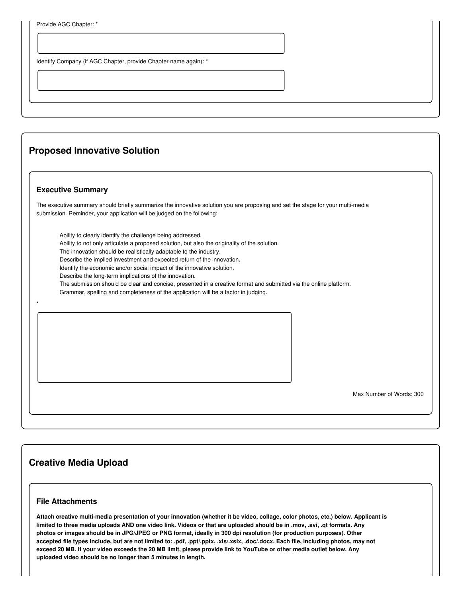|  |  | Provide AGC Chapter: * |  |
|--|--|------------------------|--|
|--|--|------------------------|--|

Identify Company (if AGC Chapter, provide Chapter name again): \*

### **Proposed Innovative Solution**

#### **Executive Summary**

\*

The executive summary should briefly summarize the innovative solution you are proposing and set the stage for your multi-media submission. Reminder, your application will be judged on the following:

Ability to clearly identify the challenge being addressed. Ability to not only articulate a proposed solution, but also the originality of the solution. The innovation should be realistically adaptable to the industry. Describe the implied investment and expected return of the innovation. Identify the economic and/or social impact of the innovative solution. Describe the long-term implications of the innovation. The submission should be clear and concise, presented in a creative format and submitted via the online platform. Grammar, spelling and completeness of the application will be a factor in judging.

Max Number of Words: 300

### **Creative Media Upload**

### **File Attachments**

Attach creative multi-media presentation of your innovation (whether it be video, collage, color photos, etc.) below. Applicant is limited to three media uploads AND one video link. Videos or that are uploaded should be in .mov, .avi, .qt formats. Any photos or images should be in JPG/JPEG or PNG format, ideally in 300 dpi resolution (for production purposes). Other accepted file types include, but are not limited to: .pdf, .ppt/.pptx, .xls/.xslx, .doc/.docx. Each file, including photos, may not exceed 20 MB. If your video exceeds the 20 MB limit, please provide link to YouTube or other media outlet below. Any **uploaded video should be no longer than 5 minutes in length.**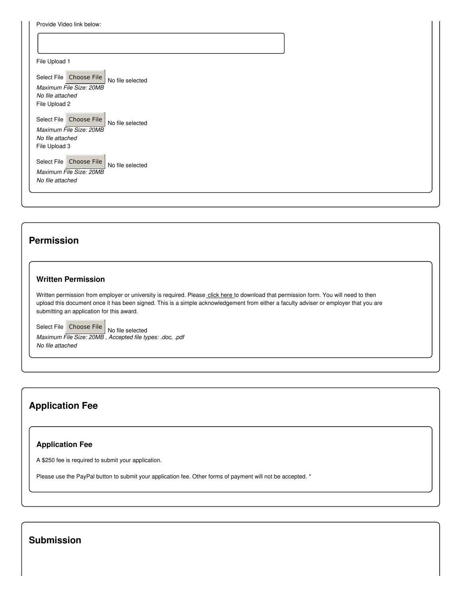| Provide Video link below:                   |  |  |
|---------------------------------------------|--|--|
|                                             |  |  |
|                                             |  |  |
| File Upload 1                               |  |  |
| Select File Choose File                     |  |  |
| No file selected<br>Maximum File Size: 20MB |  |  |
| No file attached                            |  |  |
| File Upload 2                               |  |  |
| Select File Choose File<br>No file selected |  |  |
| Maximum File Size: 20MB                     |  |  |
| No file attached                            |  |  |
| File Upload 3                               |  |  |
| Select File Choose File<br>No file selected |  |  |
| Maximum File Size: 20MB                     |  |  |
| No file attached                            |  |  |
|                                             |  |  |
|                                             |  |  |

# **Permission**

### **Written Permission**

Written permission from employer or university is required. Please click [here](https://www.agc.org/sites/default/files/Innovation award permission_0.pdf) to download that permission form. You will need to then upload this document once it has been signed. This is a simple acknowledgement from either a faculty adviser or employer that you are submitting an application for this award.

Select File Choose File No file selected *Maximum File Size: 20MB , Accepted file types: .doc, .pdf No file attached*

# **Application Fee**

### **Application Fee**

A \$250 fee is required to submit your application.

Please use the PayPal button to submit your application fee. Other forms of payment will not be accepted. \*

## **Submission**